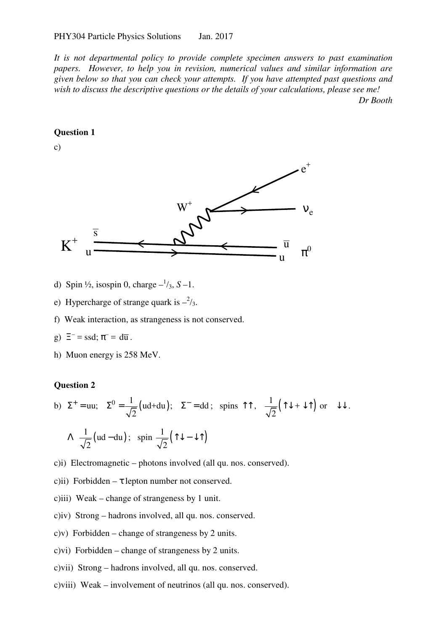*It is not departmental policy to provide complete specimen answers to past examination papers. However, to help you in revision, numerical values and similar information are given below so that you can check your attempts. If you have attempted past questions and wish to discuss the descriptive questions or the details of your calculations, please see me! Dr Booth* 

#### **Question 1**

c)



- d) Spin  $\frac{1}{2}$ , isospin 0, charge  $-\frac{1}{3}$ , S -1.
- e) Hypercharge of strange quark is  $-\frac{2}{3}$ .
- f) Weak interaction, as strangeness is not conserved.
- g)  $\Xi^-$  = ssd;  $\pi^-$  = d $\overline{u}$ .
- h) Muon energy is 258 MeV.

#### **Question 2**

b) 
$$
\Sigma^+ = \text{uu}
$$
;  $\Sigma^0 = \frac{1}{\sqrt{2}} (\text{ud} + \text{du})$ ;  $\Sigma^- = \text{dd}$ ; spins  $\Upsilon \uparrow$ ,  $\frac{1}{\sqrt{2}} (\Upsilon \downarrow + \downarrow \Upsilon)$  or  $\downarrow \downarrow$ .  
 $\Lambda \frac{1}{\sqrt{2}} (\text{ud} - \text{du})$ ; spin  $\frac{1}{\sqrt{2}} (\Upsilon \downarrow - \downarrow \Upsilon)$ 

- c)i) Electromagnetic photons involved (all qu. nos. conserved).
- c)ii) Forbidden  $\tau$  lepton number not conserved.
- c)iii) Weak change of strangeness by 1 unit.
- c)iv) Strong hadrons involved, all qu. nos. conserved.
- c)v) Forbidden change of strangeness by 2 units.
- c)vi) Forbidden change of strangeness by 2 units.
- c)vii) Strong hadrons involved, all qu. nos. conserved.
- c)viii) Weak involvement of neutrinos (all qu. nos. conserved).